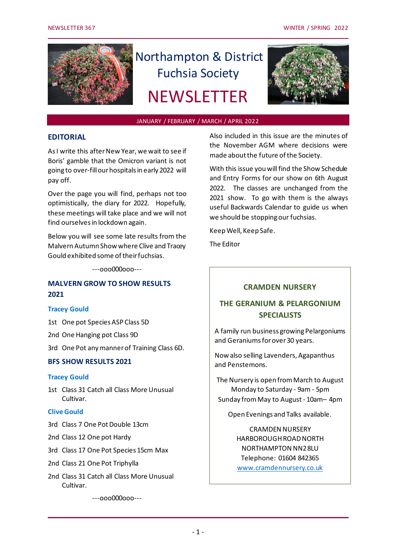

# Northampton & District Fuchsia Society **NEWSLETTER**



## JANUARY / FEBRUARY / MARCH / APRIL 2022

## **EDITORIAL**

As I write this after New Year, we wait to see if Boris' gamble that the Omicron variant is not going to over-fill our hospitals in early 2022 will pay off.

Over the page you will find, perhaps not too optimistically, the diary for 2022. Hopefully, these meetings will take place and we will not find ourselves in lockdown again.

Below you will see some late results from the Malvern Autumn Show where Clive and Tracey Gould exhibited some of their fuchsias.

---ooo000ooo---

## **MALVERN GROW TO SHOW RESULTS 2021**

#### **Tracey Gould**

1st One pot Species ASP Class 5D

2nd One Hanging pot Class 9D

3rd One Pot any manner of Training Class 6D.

## **BFS SHOW RESULTS 2021**

#### **Tracey Gould**

1st Class 31 Catch all Class More Unusual Cultivar.

## **Clive Gould**

- 3rd Class 7 One Pot Double 13cm
- 2nd Class 12 One pot Hardy
- 3rd Class 17 One Pot Species 15cm Max
- 2nd Class 21 One Pot Triphylla
- 2nd Class 31 Catch all Class More Unusual Cultivar.

---ooo000ooo---

Also included in this issue are the minutes of the November AGM where decisions were made about the future of the Society.

With this issue you will find the Show Schedule and Entry Forms for our show on 6th August 2022. The classes are unchanged from the 2021 show. To go with them is the always useful Backwards Calendar to guide us when we should be stopping our fuchsias.

Keep Well, Keep Safe.

The Editor

## **CRAMDEN NURSERY**

# **THE GERANIUM & PELARGONIUM SPECIALISTS**

A family run business growing Pelargoniums and Geraniums for over 30 years.

Now also selling Lavenders, Agapanthus and Penstemons.

The Nursery is open from March to August Monday to Saturday - 9am - 5pm Sunday from May to August - 10am– 4pm

Open Evenings and Talks available.

CRAMDEN NURSERY HARBOROUGH ROAD NORTH NORTHAMPTON NN2 8LU Telephone: 01604 842365 [www.cramdennursery.co.uk](http://www.cramdennursery.co.uk/)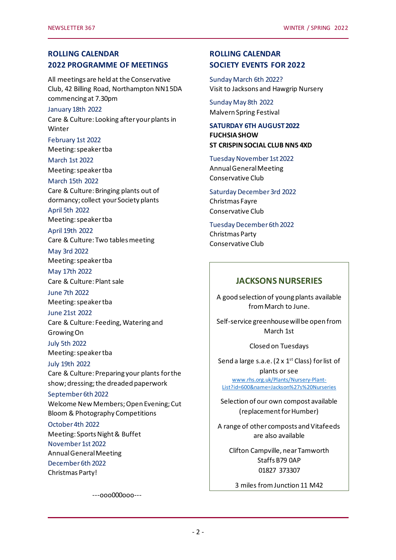# **ROLLING CALENDAR 2022 PROGRAMME OF MEETINGS**

All meetings are held at the Conservative Club, 42 Billing Road, Northampton NN1 5DA commencing at 7.30pm

#### January 18th 2022

Care & Culture: Looking after your plants in Winter

February 1st 2022 Meeting: speaker tba

March 1st 2022 Meeting: speaker tba

March 15th 2022

Care & Culture: Bringing plants out of dormancy; collect your Society plants April 5th 2022 Meeting: speaker tba

April 19th 2022

Care & Culture: Two tables meeting

May 3rd 2022 Meeting: speaker tba

May 17th 2022 Care & Culture: Plant sale

June 7th 2022 Meeting: speaker tba

June 21st 2022 Care & Culture: Feeding, Watering and Growing On

July 5th 2022 Meeting: speaker tba

July 19th 2022 Care & Culture: Preparing your plants for the show; dressing; the dreaded paperwork

September 6th 2022 Welcome New Members; Open Evening; Cut Bloom & Photography Competitions

October 4th 2022 Meeting: Sports Night & Buffet November 1st 2022 Annual General Meeting December 6th 2022 Christmas Party!

---ooo000ooo---

# **ROLLING CALENDAR SOCIETY EVENTS FOR 2022**

Sunday March 6th 2022? Visit to Jacksons and Hawgrip Nursery

Sunday May 8th 2022 Malvern Spring Festival

**SATURDAY 6TH AUGUST 2022 FUCHSIA SHOW ST CRISPIN SOCIAL CLUB NN5 4XD**

Tuesday November 1st 2022 Annual General Meeting Conservative Club

Saturday December 3rd 2022 Christmas Fayre Conservative Club

Tuesday December 6th 2022 Christmas Party Conservative Club

# **JACKSONS NURSERIES**

A good selection of young plants available from March to June.

Self-service greenhouse will be open from March 1st

Closed on Tuesdays

Send a large s.a.e. ( $2 \times 1^{st}$  Class) for list of plants or see [www.rhs.org.uk/Plants/Nursery-Plant-](file:///C:/Users/Peter/Documents/NDFS/www.rhs.org.uk/Plants/Nursery-Plant-List%3fid=600&name=Jackson)[List?id=600&name=Jackson%27s%20Nurseries](file:///C:/Users/Peter/Documents/NDFS/www.rhs.org.uk/Plants/Nursery-Plant-List%3fid=600&name=Jackson)

Selection of our own compost available (replacement for Humber)

A range of other composts and Vitafeeds are also available

Clifton Campville, near Tamworth Staffs B79 0AP 01827 373307

3 miles from Junction 11 M42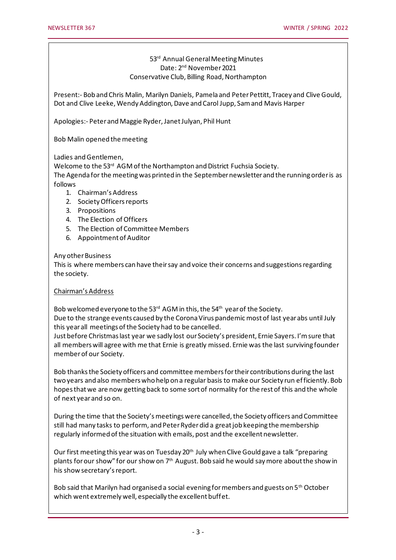## 53rd Annual General Meeting Minutes Date: 2nd November 2021 Conservative Club, Billing Road, Northampton

Present:- Bob and Chris Malin, Marilyn Daniels, Pamela and Peter Pettitt, Tracey and Clive Gould, Dot and Clive Leeke, Wendy Addington, Dave and Carol Jupp, Sam and Mavis Harper

Apologies:- Peter and Maggie Ryder, Janet Julyan, Phil Hunt

Bob Malin opened the meeting

Ladies and Gentlemen,

Welcome to the 53rd AGM of the Northampton and District Fuchsia Society.

The Agenda for the meeting was printed in the September newsletter and the running order is as follows

- 1. Chairman's Address
- 2. Society Officers reports
- 3. Propositions
- 4. The Election of Officers
- 5. The Election of Committee Members
- 6. Appointment of Auditor

## Any other Business

This is where members can have their say and voice their concerns and suggestions regarding the society.

## Chairman's Address

Bob welcomed everyone to the 53<sup>rd</sup> AGM in this, the 54<sup>th</sup> year of the Society.

Due to the strange events caused by the Corona Virus pandemic most of last year abs until July this year all meetings of the Society had to be cancelled.

Just before Christmas last year we sadly lost our Society's president, Ernie Sayers. I'm sure that all members will agree with me that Ernie is greatly missed. Ernie was the last surviving founder member of our Society.

Bob thanks the Society officers and committee members for their contributions during the last two years and also members who help on a regular basis to make our Society run efficiently. Bob hopes that we are now getting back to some sort of normality for the rest of this and the whole of next year and so on.

During the time that the Society's meetings were cancelled, the Society officers and Committee still had many tasks to perform, and Peter Ryder did a great job keeping the membership regularly informed of the situation with emails, post and the excellent newsletter.

Our first meeting this year was on Tuesday 20<sup>th</sup> July when Clive Gould gave a talk "preparing plants for our show" for our show on 7<sup>th</sup> August. Bob said he would say more about the show in his show secretary's report.

Bob said that Marilyn had organised a social evening for members and guests on 5<sup>th</sup> October which went extremely well, especially the excellent buffet.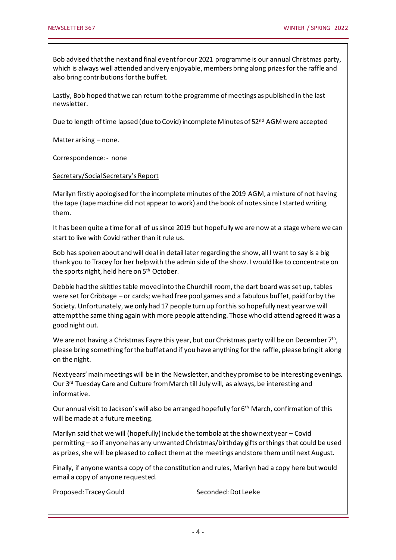Bob advised that the next and final event for our 2021 programme is our annual Christmas party, which is always well attended and very enjoyable, members bring along prizes for the raffle and also bring contributions for the buffet.

Lastly, Bob hoped that we can return to the programme of meetings as published in the last newsletter.

Due to length of time lapsed (due to Covid) incomplete Minutes of 52<sup>nd</sup> AGM were accepted

Matter arising – none.

Correspondence: - none

Secretary/Social Secretary's Report

Marilyn firstly apologised for the incomplete minutes of the 2019 AGM, a mixture of not having the tape (tape machine did not appear to work) and the book of notes since I started writing them.

It has been quite a time for all of us since 2019 but hopefully we are now at a stage where we can start to live with Covid rather than it rule us.

Bob has spoken about and will deal in detail later regarding the show, all I want to say is a big thank you to Tracey for her help with the admin side of the show. I would like to concentrate on the sports night, held here on 5<sup>th</sup> October.

Debbie had the skittles table moved into the Churchill room, the dart board was set up, tables were set for Cribbage – or cards; we had free pool games and a fabulous buffet, paid for by the Society. Unfortunately, we only had 17 people turn up for this so hopefully next year we will attempt the same thing again with more people attending. Those who did attend agreed it was a good night out.

We are not having a Christmas Fayre this year, but our Christmas party will be on December  $7<sup>th</sup>$ , please bring something for the buffet and if you have anything for the raffle, please bring it along on the night.

Next years' main meetings will be in the Newsletter, and they promise to be interesting evenings. Our  $3<sup>rd</sup>$  Tuesday Care and Culture from March till July will, as always, be interesting and informative.

Our annual visit to Jackson's will also be arranged hopefully for 6<sup>th</sup> March, confirmation of this will be made at a future meeting.

Marilyn said that we will (hopefully) include the tombola at the show next year – Covid permitting – so if anyone has any unwanted Christmas/birthday gifts or things that could be used as prizes, she will be pleased to collect them at the meetings and store them until next August.

Finally, if anyone wants a copy of the constitution and rules, Marilyn had a copy here but would email a copy of anyone requested.

Proposed: Tracey Gould Seconded: Dot Leeke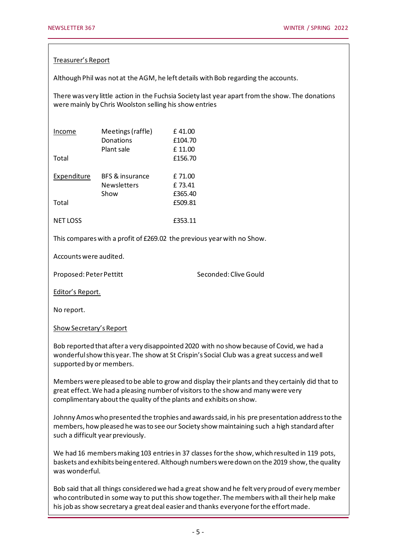#### Treasurer's Report

Although Phil was not at the AGM, he left details with Bob regarding the accounts.

There was very little action in the Fuchsia Society last year apart from the show. The donations were mainly by Chris Woolston selling his show entries

| Income<br>Total      | Meetings (raffle)<br>Donations<br>Plant sale  | £41.00<br>£104.70<br>£11.00<br>£156.70 |
|----------------------|-----------------------------------------------|----------------------------------------|
| Expenditure<br>Total | BFS & insurance<br><b>Newsletters</b><br>Show | £71.00<br>£73.41<br>£365.40<br>£509.81 |
| NET LOSS             |                                               | £353.11                                |

This compares with a profit of £269.02 the previous year with no Show.

Accounts were audited.

Proposed: Peter Pettitt Seconded: Clive Gould

Editor's Report.

No report.

Show Secretary's Report

Bob reported that after a very disappointed 2020 with no show because of Covid, we had a wonderful show this year. The show at St Crispin's Social Club was a great success and well supported by or members.

Members were pleased to be able to grow and display their plants and they certainly did that to great effect. We had a pleasing number of visitors to the show and many were very complimentary about the quality of the plants and exhibits on show.

Johnny Amos who presented the trophies and awards said, in his pre presentation address to the members, how pleased he was to see our Society show maintaining such a high standard after such a difficult year previously.

We had 16 members making 103 entries in 37 classes for the show, which resulted in 119 pots, baskets and exhibits being entered. Although numbers were down on the 2019 show, the quality was wonderful.

Bob said that all things considered we had a great show and he felt very proud of every member who contributed in some way to put this show together. The members with all their help make his job as show secretary a great deal easier and thanks everyone for the effort made.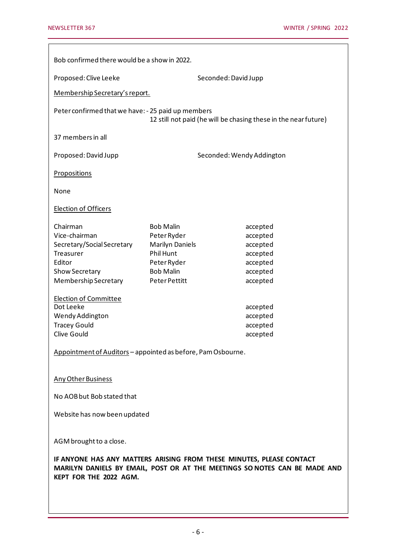| Bob confirmed there would be a show in 2022.                                                                                                                                 |                        |                           |          |  |  |
|------------------------------------------------------------------------------------------------------------------------------------------------------------------------------|------------------------|---------------------------|----------|--|--|
| Proposed: Clive Leeke                                                                                                                                                        |                        | Seconded: David Jupp      |          |  |  |
| Membership Secretary's report.                                                                                                                                               |                        |                           |          |  |  |
|                                                                                                                                                                              |                        |                           |          |  |  |
| Peter confirmed that we have: - 25 paid up members<br>12 still not paid (he will be chasing these in the near future)                                                        |                        |                           |          |  |  |
| 37 members in all                                                                                                                                                            |                        |                           |          |  |  |
| Proposed: David Jupp                                                                                                                                                         |                        | Seconded: Wendy Addington |          |  |  |
| <b>Propositions</b>                                                                                                                                                          |                        |                           |          |  |  |
| None                                                                                                                                                                         |                        |                           |          |  |  |
| Election of Officers                                                                                                                                                         |                        |                           |          |  |  |
| Chairman                                                                                                                                                                     | <b>Bob Malin</b>       |                           | accepted |  |  |
| Vice-chairman                                                                                                                                                                | Peter Ryder            |                           | accepted |  |  |
| Secretary/Social Secretary                                                                                                                                                   | <b>Marilyn Daniels</b> |                           | accepted |  |  |
| Treasurer                                                                                                                                                                    | Phil Hunt              |                           | accepted |  |  |
| Editor                                                                                                                                                                       | Peter Ryder            |                           | accepted |  |  |
| Show Secretary                                                                                                                                                               | <b>Bob Malin</b>       |                           | accepted |  |  |
| Membership Secretary                                                                                                                                                         | Peter Pettitt          |                           | accepted |  |  |
| <b>Election of Committee</b>                                                                                                                                                 |                        |                           |          |  |  |
| Dot Leeke                                                                                                                                                                    |                        |                           | accepted |  |  |
| Wendy Addington                                                                                                                                                              |                        |                           | accepted |  |  |
| <b>Tracey Gould</b>                                                                                                                                                          |                        |                           | accepted |  |  |
| Clive Gould                                                                                                                                                                  |                        |                           | accepted |  |  |
| Appointment of Auditors - appointed as before, Pam Osbourne.                                                                                                                 |                        |                           |          |  |  |
| <b>Any Other Business</b>                                                                                                                                                    |                        |                           |          |  |  |
| No AOB but Bob stated that                                                                                                                                                   |                        |                           |          |  |  |
| Website has now been updated                                                                                                                                                 |                        |                           |          |  |  |
|                                                                                                                                                                              |                        |                           |          |  |  |
| AGM brought to a close.                                                                                                                                                      |                        |                           |          |  |  |
| IF ANYONE HAS ANY MATTERS ARISING FROM THESE MINUTES, PLEASE CONTACT<br>MARILYN DANIELS BY EMAIL, POST OR AT THE MEETINGS SO NOTES CAN BE MADE AND<br>KEPT FOR THE 2022 AGM. |                        |                           |          |  |  |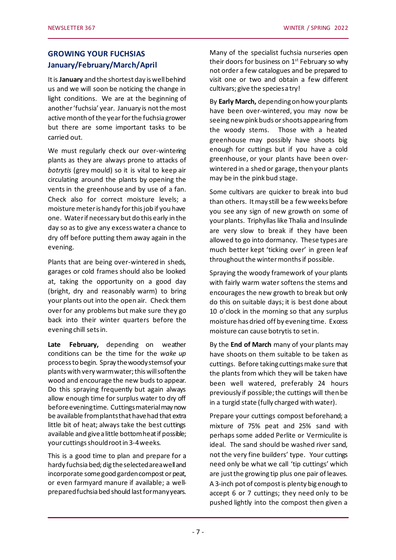# **GROWING YOUR FUCHSIAS January/February/March/April**

It is **January** and the shortest day is well behind us and we will soon be noticing the change in light conditions. We are at the beginning of another 'fuchsia' year. January is not the most active month of the year for the fuchsia grower but there are some important tasks to be carried out.

We must regularly check our over-wintering plants as they are always prone to attacks of *botrytis* (grey mould) so it is vital to keep air circulating around the plants by opening the vents in the greenhouse and by use of a fan. Check also for correct moisture levels; a moisture meter is handy for this job if you have one. Water if necessary but do this early in the day so as to give any excess water a chance to dry off before putting them away again in the evening.

Plants that are being over-wintered in sheds, garages or cold frames should also be looked at, taking the opportunity on a good day (bright, dry and reasonably warm) to bring your plants out into the open air. Check them over for any problems but make sure they go back into their winter quarters before the evening chill sets in.

**Late February,** depending on weather conditions can be the time for the *wake up* process to begin. Spray the woody stems of your plants with very warm water; this will soften the wood and encourage the new buds to appear. Do this spraying frequently but again always allow enough time for surplus water to dry off before evening time. Cuttings material may now be available from plants that have had that extra little bit of heat; always take the best cuttings available and give a little bottom heat if possible; your cuttings should root in 3-4 weeks.

This is a good time to plan and prepare for a hardy fuchsia bed; dig the selected area well and incorporate some good garden compost or peat, or even farmyard manure if available; a wellprepared fuchsia bed should last for many years.

Many of the specialist fuchsia nurseries open their doors for business on  $1<sup>st</sup>$  February so why not order a few catalogues and be prepared to visit one or two and obtain a few different cultivars; give the species a try!

By **Early March,** depending on how your plants have been over-wintered, you may now be seeing new pink buds or shoots appearing from the woody stems. Those with a heated greenhouse may possibly have shoots big enough for cuttings but if you have a cold greenhouse, or your plants have been overwintered in a shed or garage, then your plants may be in the pink bud stage.

Some cultivars are quicker to break into bud than others. It may still be a few weeks before you see any sign of new growth on some of your plants. Triphyllas like Thalia and Insulinde are very slow to break if they have been allowed to go into dormancy. These types are much better kept 'ticking over' in green leaf throughout the winter months if possible.

Spraying the woody framework of your plants with fairly warm water softens the stems and encourages the new growth to break but only do this on suitable days; it is best done about 10 o'clock in the morning so that any surplus moisture has dried off by evening time. Excess moisture can cause botrytis to set in.

By the **End of March** many of your plants may have shoots on them suitable to be taken as cuttings. Before taking cuttings make sure that the plants from which they will be taken have been well watered, preferably 24 hours previously if possible; the cuttings will then be in a turgid state (fully charged with water).

Prepare your cuttings compost beforehand; a mixture of 75% peat and 25% sand with perhaps some added Perlite or Vermiculite is ideal. The sand should be washed river sand, not the very fine builders' type. Your cuttings need only be what we call 'tip cuttings' which are just the growing tip plus one pair of leaves. A 3-inch pot of compost is plenty big enough to accept 6 or 7 cuttings; they need only to be pushed lightly into the compost then given a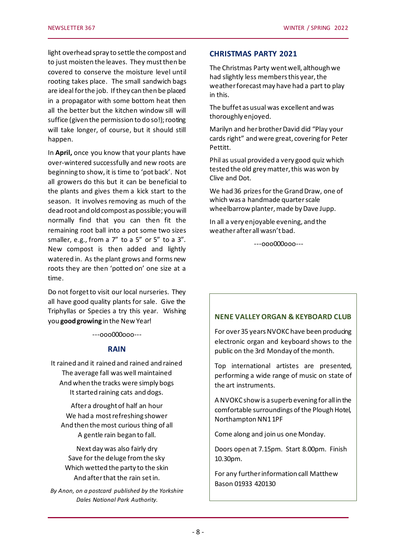light overhead spray to settle the compost and to just moisten the leaves. They must then be covered to conserve the moisture level until rooting takes place. The small sandwich bags are ideal for the job. If they can then be placed in a propagator with some bottom heat then all the better but the kitchen window sill will suffice (given the permission to do so!); rooting will take longer, of course, but it should still happen.

In **April,** once you know that your plants have over-wintered successfully and new roots are beginning to show, it is time to 'pot back'. Not all growers do this but it can be beneficial to the plants and gives them a kick start to the season. It involves removing as much of the dead root and old compost as possible; you will normally find that you can then fit the remaining root ball into a pot some two sizes smaller, e.g., from a 7" to a 5" or 5" to a 3". New compost is then added and lightly watered in. As the plant grows and forms new roots they are then 'potted on' one size at a time.

Do not forget to visit our local nurseries. They all have good quality plants for sale. Give the Triphyllas or Species a try this year. Wishing you **good growing** in the New Year!

---ooo000ooo---

## **RAIN**

It rained and it rained and rained and rained The average fall was well maintained And when the tracks were simply bogs It started raining cats and dogs.

After a drought of half an hour We had a most refreshing shower And then the most curious thing of all A gentle rain began to fall.

Next day was also fairly dry Save for the deluge from the sky Which wetted the party to the skin And after that the rain set in.

*By Anon, on a postcard published by the Yorkshire Dales National Park Authority.*

#### **CHRISTMAS PARTY 2021**

The Christmas Party went well, although we had slightly less members this year, the weather forecast may have had a part to play in this.

The buffet as usual was excellent and was thoroughly enjoyed.

Marilyn and her brother David did "Play your cards right" and were great, covering for Peter Pettitt.

Phil as usual provided a very good quiz which tested the old grey matter, this was won by Clive and Dot.

We had 36 prizes for the Grand Draw, one of which was a handmade quarter scale wheelbarrow planter, made by Dave Jupp.

In all a very enjoyable evening, and the weather after all wasn't bad.

---ooo000ooo---

## **NENE VALLEY ORGAN & KEYBOARD CLUB**

For over 35 years NVOKC have been producing electronic organ and keyboard shows to the public on the 3rd Monday of the month.

Top international artistes are presented, performing a wide range of music on state of the art instruments.

A NVOKC show is a superb evening for all in the comfortable surroundings of the Plough Hotel, Northampton NN1 1PF

Come along and join us one Monday.

Doors open at 7.15pm. Start 8.00pm. Finish 10.30pm.

For any further information call Matthew Bason 01933 420130